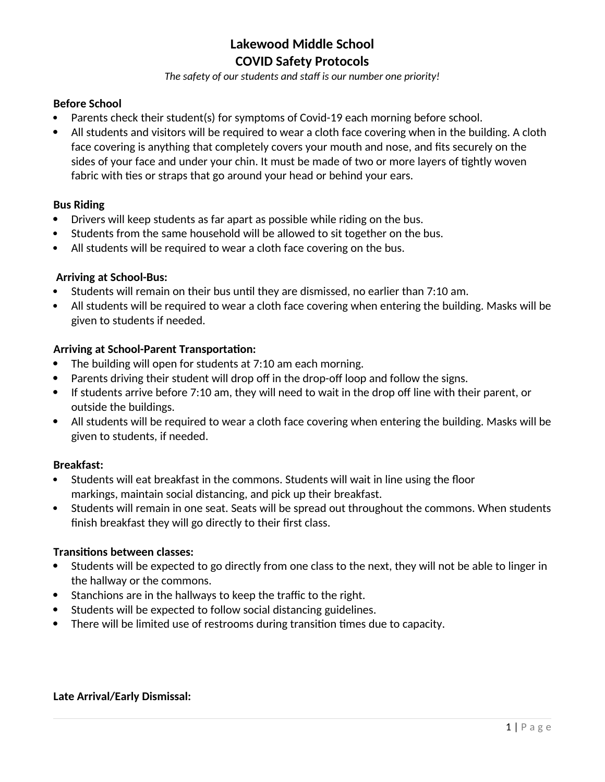*The safety of our students and staff is our number one priority!*

### **Before School**

- Parents check their student(s) for symptoms of Covid-19 each morning before school.
- All students and visitors will be required to wear a cloth face covering when in the building. A cloth face covering is anything that completely covers your mouth and nose, and fits securely on the sides of your face and under your chin. It must be made of two or more layers of tightly woven fabric with ties or straps that go around your head or behind your ears.

#### **Bus Riding**

- Drivers will keep students as far apart as possible while riding on the bus.
- Students from the same household will be allowed to sit together on the bus.
- All students will be required to wear a cloth face covering on the bus.

#### **Arriving at School-Bus:**

- Students will remain on their bus until they are dismissed, no earlier than 7:10 am.
- All students will be required to wear a cloth face covering when entering the building. Masks will be given to students if needed.

### **Arriving at School-Parent Transportation:**

- The building will open for students at 7:10 am each morning.
- Parents driving their student will drop off in the drop-off loop and follow the signs.
- If students arrive before 7:10 am, they will need to wait in the drop off line with their parent, or outside the buildings.
- All students will be required to wear a cloth face covering when entering the building. Masks will be given to students, if needed.

#### **Breakfast:**

- Students will eat breakfast in the commons. Students will wait in line using the floor markings, maintain social distancing, and pick up their breakfast.
- Students will remain in one seat. Seats will be spread out throughout the commons. When students finish breakfast they will go directly to their first class.

#### **Transitions between classes:**

- Students will be expected to go directly from one class to the next, they will not be able to linger in the hallway or the commons.
- Stanchions are in the hallways to keep the traffic to the right.
- Students will be expected to follow social distancing guidelines.
- There will be limited use of restrooms during transition times due to capacity.

## **Late Arrival/Early Dismissal:**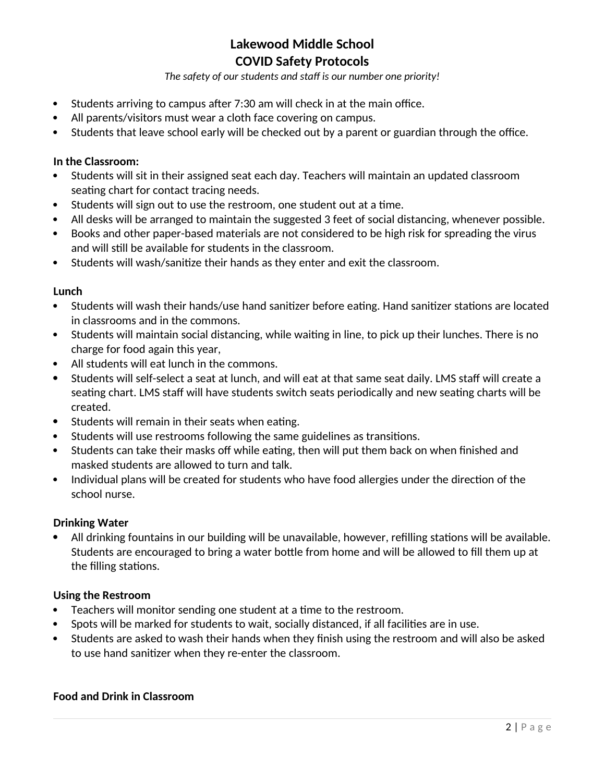*The safety of our students and staff is our number one priority!*

- Students arriving to campus after 7:30 am will check in at the main office.
- All parents/visitors must wear a cloth face covering on campus.
- Students that leave school early will be checked out by a parent or guardian through the office.

#### **In the Classroom:**

- Students will sit in their assigned seat each day. Teachers will maintain an updated classroom seating chart for contact tracing needs.
- Students will sign out to use the restroom, one student out at a time.
- All desks will be arranged to maintain the suggested 3 feet of social distancing, whenever possible.
- Books and other paper-based materials are not considered to be high risk for spreading the virus and will still be available for students in the classroom.
- Students will wash/sanitize their hands as they enter and exit the classroom.

#### **Lunch**

- Students will wash their hands/use hand sanitizer before eating. Hand sanitizer stations are located in classrooms and in the commons.
- Students will maintain social distancing, while waiting in line, to pick up their lunches. There is no charge for food again this year,
- All students will eat lunch in the commons.
- Students will self-select a seat at lunch, and will eat at that same seat daily. LMS staff will create a seating chart. LMS staff will have students switch seats periodically and new seating charts will be created.
- Students will remain in their seats when eating.
- Students will use restrooms following the same guidelines as transitions.
- Students can take their masks off while eating, then will put them back on when finished and masked students are allowed to turn and talk.
- Individual plans will be created for students who have food allergies under the direction of the school nurse.

#### **Drinking Water**

 All drinking fountains in our building will be unavailable, however, refilling stations will be available. Students are encouraged to bring a water bottle from home and will be allowed to fill them up at the filling stations.

#### **Using the Restroom**

- Teachers will monitor sending one student at a time to the restroom.
- Spots will be marked for students to wait, socially distanced, if all facilities are in use.
- Students are asked to wash their hands when they finish using the restroom and will also be asked to use hand sanitizer when they re-enter the classroom.

#### **Food and Drink in Classroom**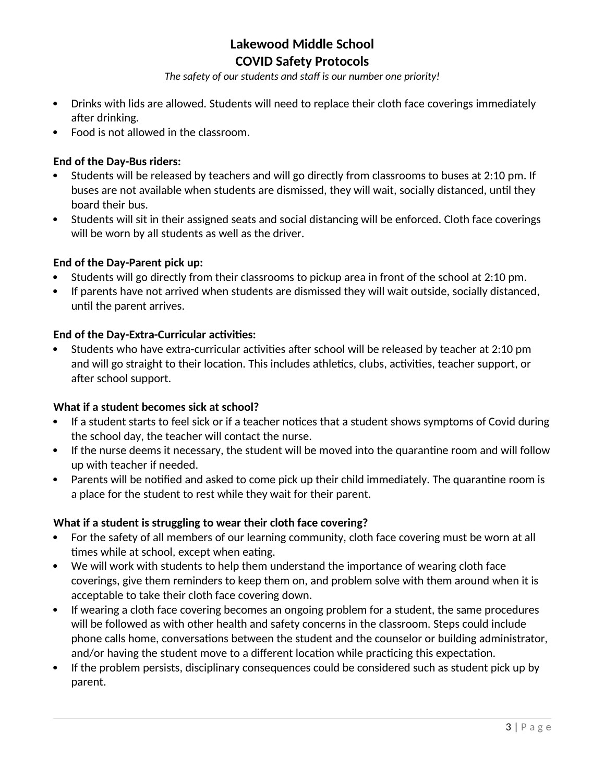*The safety of our students and staff is our number one priority!*

- Drinks with lids are allowed. Students will need to replace their cloth face coverings immediately after drinking.
- Food is not allowed in the classroom.

## **End of the Day-Bus riders:**

- Students will be released by teachers and will go directly from classrooms to buses at 2:10 pm. If buses are not available when students are dismissed, they will wait, socially distanced, until they board their bus.
- Students will sit in their assigned seats and social distancing will be enforced. Cloth face coverings will be worn by all students as well as the driver.

## **End of the Day-Parent pick up:**

- Students will go directly from their classrooms to pickup area in front of the school at 2:10 pm.
- If parents have not arrived when students are dismissed they will wait outside, socially distanced, until the parent arrives.

## **End of the Day-Extra-Curricular activities:**

 Students who have extra-curricular activities after school will be released by teacher at 2:10 pm and will go straight to their location. This includes athletics, clubs, activities, teacher support, or after school support.

## **What if a student becomes sick at school?**

- If a student starts to feel sick or if a teacher notices that a student shows symptoms of Covid during the school day, the teacher will contact the nurse.
- If the nurse deems it necessary, the student will be moved into the quarantine room and will follow up with teacher if needed.
- Parents will be notified and asked to come pick up their child immediately. The quarantine room is a place for the student to rest while they wait for their parent.

## **What if a student is struggling to wear their cloth face covering?**

- For the safety of all members of our learning community, cloth face covering must be worn at all times while at school, except when eating.
- We will work with students to help them understand the importance of wearing cloth face coverings, give them reminders to keep them on, and problem solve with them around when it is acceptable to take their cloth face covering down.
- If wearing a cloth face covering becomes an ongoing problem for a student, the same procedures will be followed as with other health and safety concerns in the classroom. Steps could include phone calls home, conversations between the student and the counselor or building administrator, and/or having the student move to a different location while practicing this expectation.
- If the problem persists, disciplinary consequences could be considered such as student pick up by parent.